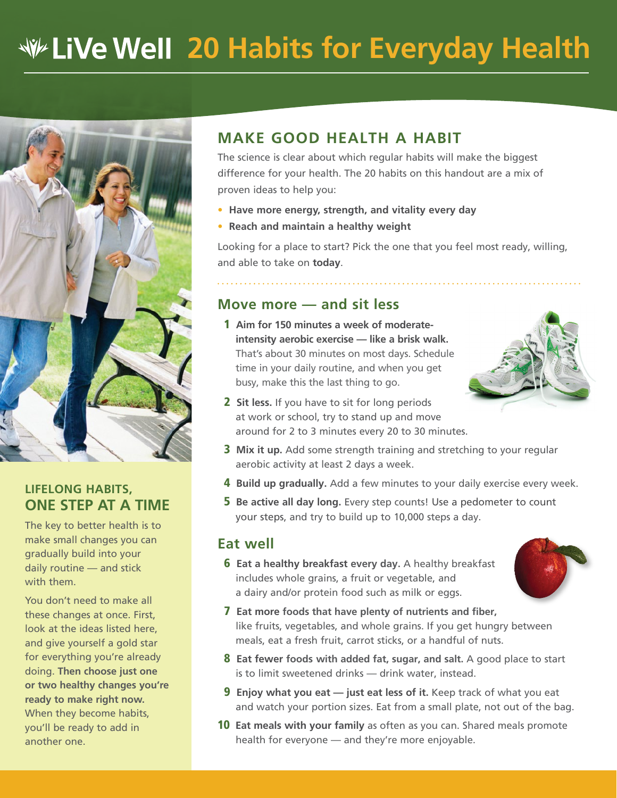# **20 Habits for Everyday Health**



### **LIFELONG HABITS, ONE STEP AT A TIME**

The key to better health is to make small changes you can gradually build into your daily routine — and stick with them.

You don't need to make all these changes at once. First, look at the ideas listed here, and give yourself a gold star for everything you're already doing. **Then choose just one or two healthy changes you're ready to make right now.** When they become habits, you'll be ready to add in another one.

# **MAKE GOOD HEALTH A HABIT**

The science is clear about which regular habits will make the biggest difference for your health. The 20 habits on this handout are a mix of proven ideas to help you:

- **Have more energy, strength, and vitality every day**
- **Reach and maintain a healthy weight**

Looking for a place to start? Pick the one that you feel most ready, willing, and able to take on **today**.

## **Move more — and sit less**

- 1 **Aim for 150 minutes a week of moderate‑ intensity aerobic exercise — like a brisk walk.**  That's about 30 minutes on most days. Schedule time in your daily routine, and when you get busy, make this the last thing to go.
- 
- 2 **Sit less.** If you have to sit for long periods at work or school, try to stand up and move around for 2 to 3 minutes every 20 to 30 minutes.
- 3 **Mix it up.** Add some strength training and stretching to your regular aerobic activity at least 2 days a week.
- 4 **Build up gradually.** Add a few minutes to your daily exercise every week.
- 5 **Be active all day long.** Every step counts! Use a pedometer to count your steps, and try to build up to 10,000 steps a day.

#### **Eat well**

 6 **Eat a healthy breakfast every day.** A healthy breakfast includes whole grains, a fruit or vegetable, and a dairy and/or protein food such as milk or eggs.



- 7 **Eat more foods that have plenty of nutrients and fiber,**  like fruits, vegetables, and whole grains. If you get hungry between meals, eat a fresh fruit, carrot sticks, or a handful of nuts.
- 8 **Eat fewer foods with added fat, sugar, and salt.** A good place to start is to limit sweetened drinks — drink water, instead.
- **9 Enjoy what you eat just eat less of it.** Keep track of what you eat and watch your portion sizes. Eat from a small plate, not out of the bag.
- 10 **Eat meals with your family** as often as you can. Shared meals promote health for everyone — and they're more enjoyable.